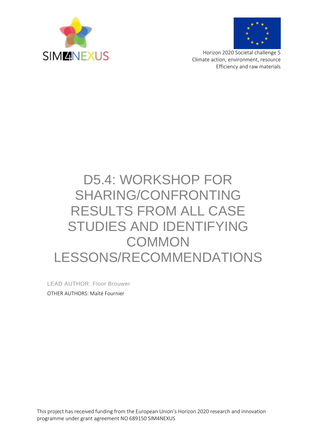



Horizon 2020 Societal challenge 5 Climate action, environment, resource Efficiency and raw materials

# D5.4: WORKSHOP FOR SHARING/CONFRONTING RESULTS FROM ALL CASE STUDIES AND IDENTIFYING **COMMON** LESSONS/RECOMMENDATIONS

LEAD AUTHOR: Floor Brouwer OTHER AUTHORS: Maïté Fournier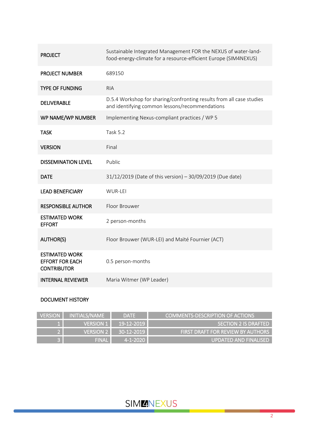| <b>PROJECT</b>                                                        | Sustainable Integrated Management FOR the NEXUS of water-land-<br>food-energy-climate for a resource-efficient Europe (SIM4NEXUS) |
|-----------------------------------------------------------------------|-----------------------------------------------------------------------------------------------------------------------------------|
| <b>PROJECT NUMBER</b>                                                 | 689150                                                                                                                            |
| <b>TYPE OF FUNDING</b>                                                | <b>RIA</b>                                                                                                                        |
| <b>DELIVERABLE</b>                                                    | D.5.4 Workshop for sharing/confronting results from all case studies<br>and identifying common lessons/recommendations            |
| WP NAME/WP NUMBER                                                     | Implementing Nexus-compliant practices / WP 5                                                                                     |
| <b>TASK</b>                                                           | <b>Task 5.2</b>                                                                                                                   |
| <b>VERSION</b>                                                        | Final                                                                                                                             |
| <b>DISSEMINATION LEVEL</b>                                            | Public                                                                                                                            |
| <b>DATE</b>                                                           | 31/12/2019 (Date of this version) - 30/09/2019 (Due date)                                                                         |
| <b>LEAD BENEFICIARY</b>                                               | WUR-LEI                                                                                                                           |
| <b>RESPONSIBLE AUTHOR</b>                                             | Floor Brouwer                                                                                                                     |
| <b>ESTIMATED WORK</b><br><b>EFFORT</b>                                | 2 person-months                                                                                                                   |
| <b>AUTHOR(S)</b>                                                      | Floor Brouwer (WUR-LEI) and Maïté Fournier (ACT)                                                                                  |
| <b>ESTIMATED WORK</b><br><b>EFFORT FOR EACH</b><br><b>CONTRIBUTOR</b> | 0.5 person-months                                                                                                                 |
| <b>INTERNAL REVIEWER</b>                                              | Maria Witmer (WP Leader)                                                                                                          |

### DOCUMENT HISTORY

| <b>VERSION</b> | INITIALS/NAME    | <b>DATE</b> | COMMENTS-DESCRIPTION OF ACTIONS          |
|----------------|------------------|-------------|------------------------------------------|
|                | <b>VERSION 1</b> | 19-12-2019  | SECTION 2 IS DRAFTED                     |
|                | <b>VERSION 2</b> | 30-12-2019  | <b>FIRST DRAFT FOR REVIEW BY AUTHORS</b> |
|                | FINAL            | 4-1-2020    | UPDATED AND FINALISED                    |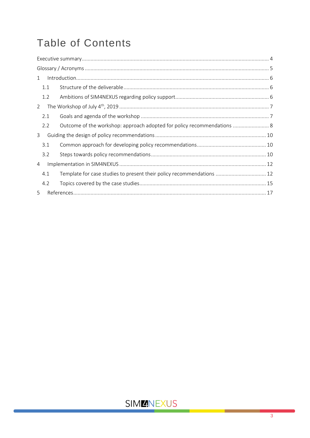# **Table of Contents**

| $\mathbf{1}$   |     |                                                                         |  |
|----------------|-----|-------------------------------------------------------------------------|--|
|                | 1.1 |                                                                         |  |
|                | 1.2 |                                                                         |  |
| $\overline{2}$ |     |                                                                         |  |
|                | 2.1 |                                                                         |  |
|                | 2.2 | Outcome of the workshop: approach adopted for policy recommendations  8 |  |
| 3              |     |                                                                         |  |
|                | 3.1 |                                                                         |  |
|                | 3.2 |                                                                         |  |
| 4              |     |                                                                         |  |
|                | 4.1 | Template for case studies to present their policy recommendations  12   |  |
|                | 4.2 |                                                                         |  |
| 5              |     |                                                                         |  |
|                |     |                                                                         |  |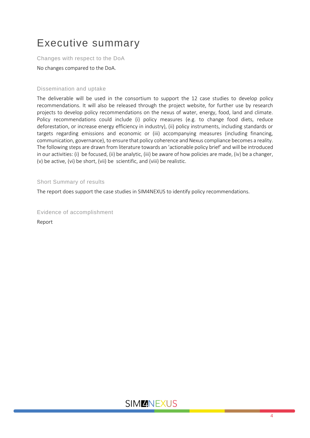# <span id="page-3-0"></span>Executive summary

Changes with respect to the DoA

No changes compared to the DoA.

### Dissemination and uptake

The deliverable will be used in the consortium to support the 12 case studies to develop policy recommendations. It will also be released through the project website, for further use by research projects to develop policy recommendations on the nexus of water, energy, food, land and climate. Policy recommendations could include (i) policy measures (e.g. to change food diets, reduce deforestation, or increase energy efficiency in industry), (ii) policy instruments, including standards or targets regarding emissions and economic or (iii) accompanying measures (including financing, communication, governance), to ensure that policy coherence and Nexus compliance becomes a reality. The following steps are drawn from literature towards an 'actionable policy brief' and will be introduced in our activities: (i) be focused, (ii) be analytic, (iii) be aware of how policies are made, (iv) be a changer, (v) be active, (vi) be short, (vii) be scientific, and (viii) be realistic.

#### Short Summary of results

The report does support the case studies in SIM4NEXUS to identify policy recommendations.

Evidence of accomplishment

Report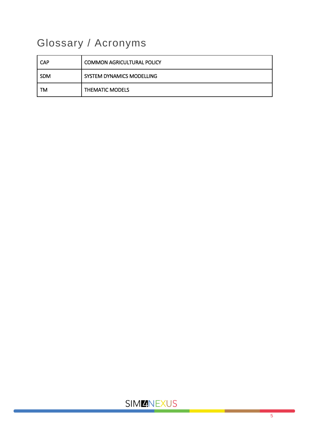# <span id="page-4-0"></span>Glossary / Acronyms

| <b>CAP</b> | <b>COMMON AGRICULTURAL POLICY</b> |
|------------|-----------------------------------|
| <b>SDM</b> | SYSTEM DYNAMICS MODELLING         |
| TM         | <b>THEMATIC MODELS</b>            |

## **SIMMNEXUS**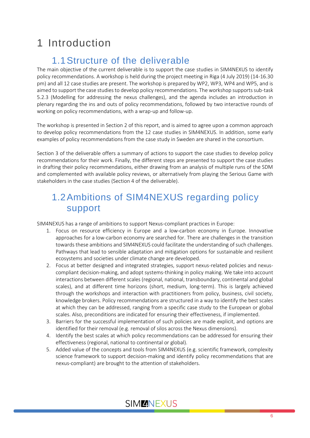# <span id="page-5-0"></span>1 Introduction

## 1.1Structure of the deliverable

<span id="page-5-1"></span>The main objective of the current deliverable is to support the case studies in SIM4NEXUS to identify policy recommendations. A workshop is held during the project meeting in Riga (4 July 2019) (14-16.30 pm) and all 12 case studies are present. The workshop is prepared by WP2, WP3, WP4 and WP5, and is aimed to support the case studies to develop policy recommendations. The workshop supports sub-task 5.2.3 (Modelling for addressing the nexus challenges), and the agenda includes an introduction in plenary regarding the ins and outs of policy recommendations, followed by two interactive rounds of working on policy recommendations, with a wrap-up and follow-up.

The workshop is presented in Section 2 of this report, and is aimed to agree upon a common approach to develop policy recommendations from the 12 case studies in SIM4NEXUS. In addition, some early examples of policy recommendations from the case study in Sweden are shared in the consortium.

Section 3 of the deliverable offers a summary of actions to support the case studies to develop policy recommendations for their work. Finally, the different steps are presented to support the case studies in drafting their policy recommendations, either drawing from an analysis of multiple runs of the SDM and complemented with available policy reviews, or alternatively from playing the Serious Game with stakeholders in the case studies (Section 4 of the deliverable).

## <span id="page-5-2"></span>1.2Ambitions of SIM4NEXUS regarding policy support

SIM4NEXUS has a range of ambitions to support Nexus-compliant practices in Europe:

- 1. Focus on resource efficiency in Europe and a low-carbon economy in Europe. Innovative approaches for a low-carbon economy are searched for. There are challenges in the transition towards these ambitions and SIM4NEXUS could facilitate the understanding of such challenges. Pathways that lead to sensible adaptation and mitigation options for sustainable and resilient ecosystems and societies under climate change are developed.
- 2. Focus at better designed and integrated strategies, support nexus-related policies and nexuscompliant decision-making, and adopt systems-thinking in policy making. We take into account interactions between different scales (regional, national, transboundary, continental and global scales), and at different time horizons (short, medium, long-term). This is largely achieved through the workshops and interaction with practitioners from policy, business, civil society, knowledge brokers. Policy recommendations are structured in a way to identify the best scales at which they can be addressed, ranging from a specific case study to the European or global scales. Also, preconditions are indicated for ensuring their effectiveness, if implemented.
- 3. Barriers for the successful implementation of such policies are made explicit, and options are identified for their removal (e.g. removal of silos across the Nexus dimensions).
- 4. Identify the best scales at which policy recommendations can be addressed for ensuring their effectiveness (regional, national to continental or global).
- 5. Added value of the concepts and tools from SIM4NEXUS (e.g. scientific framework, complexity science framework to support decision-making and identify policy recommendations that are nexus-compliant) are brought to the attention of stakeholders.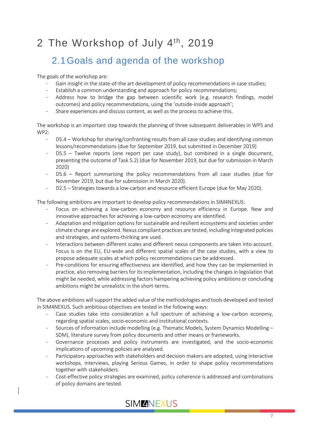# <span id="page-6-0"></span>2 The Workshop of July 4<sup>th</sup>, 2019

## <span id="page-6-1"></span>2.1Goals and agenda of the workshop

The goals of the workshop are:

- Gain insight in the state-of-the art development of policy recommendations in case studies;
- Establish a common understanding and approach for policy recommendations;
- Address how to bridge the gap between scientific work (e.g. research findings, model outcomes) and policy recommendations, using the 'outside-inside approach';
- Share experiences and discuss content, as well as the process to achieve this.

The workshop is an important step towards the planning of three subsequent deliverables in WP5 and WP2:

- D5.4 Workshop for sharing/confronting results from all case studies and identifying common lessons/recommendations (due for September 2019, but submitted in December 2019)
- $D5.5$  Twelve reports (one report per case study), but combined in a single document, presenting the outcome of Task 5.2) (due for November 2019, but due for submission in March 2020)
- $D5.6$  Report summarising the policy recommendations from all case studies (due for November 2019, but due for submission in March 2020).
- D2.5 Strategies towards a low-carbon and resource efficient Europe (due for May 2020).

The following ambitions are important to develop policy recommendations in SIM4NEXUS:

- Focus on achieving a low-carbon economy and resource efficiency in Europe. New and innovative approaches for achieving a low-carbon economy are identified.
- Adaptation and mitigation options for sustainable and resilient ecosystems and societies under climate change are explored. Nexus compliant practices are tested, including integrated policies and strategies, and systems-thinking are used.
- Interactions between different scales and different nexus components are taken into account. Focus is on the EU, EU-wide and different spatial scales of the case studies, with a view to propose adequate scales at which policy recommendations can be addressed.
- Pre-conditions for ensuring effectiveness are identified, and how they can be implemented in practice, also removing barriers for its implementation, including the changes in legislation that might be needed, while addressing factors hampering achieving policy ambitions or concluding ambitions might be unrealistic in the short-terms.

The above ambitions will support the added value of the methodologies and tools developed and tested in SIM4NEXUS. Such ambitious objectives are tested in the following ways:

- Case studies take into consideration a full spectrum of achieving a low-carbon economy, regarding spatial scales, socio-economic and institutional contexts.
- Sources of information include modelling (e.g. Thematic Models, System Dynamics Modelling SDM), literature survey from policy documents and other means or frameworks.
- Governance processes and policy instruments are investigated, and the socio-economic implications of upcoming policies are analysed.
- Participatory approaches with stakeholders and decision makers are adopted, using interactive workshops, interviews, playing Serious Games, in order to shape policy recommendations together with stakeholders.
- Cost-effective policy strategies are examined, policy coherence is addressed and combinations of policy domains are tested.

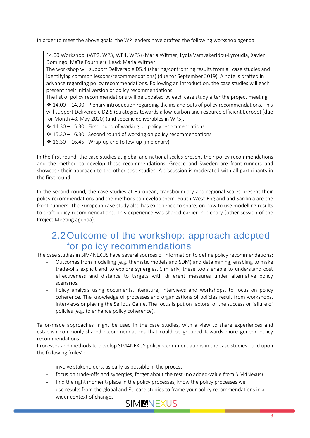In order to meet the above goals, the WP leaders have drafted the following workshop agenda.

14.00 Workshop (WP2, WP3, WP4, WP5) (Maria Witmer, Lydia Vamvakeridou-Lyroudia, Xavier Domingo, Maïté Fournier) (Lead: Maria Witmer)

The workshop will support Deliverable D5.4 (sharing/confronting results from all case studies and identifying common lessons/recommendations) (due for September 2019). A note is drafted in advance regarding policy recommendations. Following an introduction, the case studies will each present their initial version of policy recommendations.

The list of policy recommendations will be updated by each case study after the project meeting.

 $*$  14.00 – 14.30: Plenary introduction regarding the ins and outs of policy recommendations. This will support Deliverable D2.5 (Strategies towards a low-carbon and resource efficient Europe) (due for Month 48, May 2020) (and specific deliverables in WP5).

- ❖ 14.30 15.30: First round of working on policy recommendations
- $*15.30 16.30$ : Second round of working on policy recommendations
- $* 16.30 16.45$ : Wrap-up and follow-up (in plenary)

In the first round, the case studies at global and national scales present their policy recommendations and the method to develop these recommendations. Greece and Sweden are front-runners and showcase their approach to the other case studies. A discussion is moderated with all participants in the first round.

In the second round, the case studies at European, transboundary and regional scales present their policy recommendations and the methods to develop them. South-West-England and Sardinia are the front-runners. The European case study also has experience to share, on how to use modelling results to draft policy recommendations. This experience was shared earlier in plenary (other session of the Project Meeting agenda).

### <span id="page-7-0"></span>2.2Outcome of the workshop: approach adopted for policy recommendations

The case studies in SIM4NEXUS have several sources of information to define policy recommendations:

- Outcomes from modelling (e.g. thematic models and SDM) and data mining, enabling to make trade-offs explicit and to explore synergies. Similarly, these tools enable to understand cost effectiveness and distance to targets with different measures under alternative policy scenarios.
- Policy analysis using documents, literature, interviews and workshops, to focus on policy coherence. The knowledge of processes and organizations of policies result from workshops, interviews or playing the Serious Game. The focus is put on factors for the success or failure of policies (e.g. to enhance policy coherence).

Tailor-made approaches might be used in the case studies, with a view to share experiences and establish commonly-shared recommendations that could be grouped towards more generic policy recommendations.

Processes and methods to develop SIM4NEXUS policy recommendations in the case studies build upon the following 'rules' :

- involve stakeholders, as early as possible in the process
- focus on trade-offs and synergies, forget about the rest (no added-value from SIM4Nexus)
- find the right moment/place in the policy processes, know the policy processes well
- use results from the global and EU case studies to frame your policy recommendations in a wider context of changes

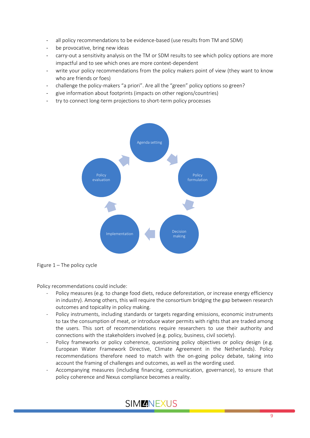- all policy recommendations to be evidence-based (use results from TM and SDM)
- be provocative, bring new ideas
- carry-out a sensitivity analysis on the TM or SDM results to see which policy options are more impactful and to see which ones are more context-dependent
- write your policy recommendations from the policy makers point of view (they want to know who are friends or foes)
- challenge the policy-makers "a priori". Are all the "green" policy options so green?
- give information about footprints (impacts on other regions/countries)
- try to connect long-term projections to short-term policy processes





Policy recommendations could include:

- Policy measures (e.g. to change food diets, reduce deforestation, or increase energy efficiency in industry). Among others, this will require the consortium bridging the gap between research outcomes and topicality in policy making.
- Policy instruments, including standards or targets regarding emissions, economic instruments to tax the consumption of meat, or introduce water permits with rights that are traded among the users. This sort of recommendations require researchers to use their authority and connections with the stakeholders involved (e.g. policy, business, civil society).
- Policy frameworks or policy coherence, questioning policy objectives or policy design (e.g. European Water Framework Directive, Climate Agreement in the Netherlands). Policy recommendations therefore need to match with the on-going policy debate, taking into account the framing of challenges and outcomes, as well as the wording used.
- Accompanying measures (including financing, communication, governance), to ensure that policy coherence and Nexus compliance becomes a reality.

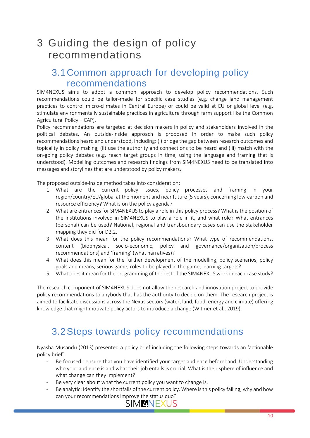# <span id="page-9-0"></span>3 Guiding the design of policy recommendations

### <span id="page-9-1"></span>3.1Common approach for developing policy recommendations

SIM4NEXUS aims to adopt a common approach to develop policy recommendations. Such recommendations could be tailor-made for specific case studies (e.g. change land management practices to control micro-climates in Central Europe) or could be valid at EU or global level (e.g. stimulate environmentally sustainable practices in agriculture through farm support like the Common Agricultural Policy – CAP).

Policy recommendations are targeted at decision makers in policy and stakeholders involved in the political debates. An outside-inside approach is proposed In order to make such policy recommendations heard and understood, including: (i) bridge the gap between research outcomes and topicality in policy making, (ii) use the authority and connections to be heard and (iii) match with the on-going policy debates (e.g. reach target groups in time, using the language and framing that is understood). Modelling outcomes and research findings from SIM4NEXUS need to be translated into messages and storylines that are understood by policy makers.

The proposed outside-inside method takes into consideration:

- 1. What are the current policy issues, policy processes and framing in your region/country/EU/global at the moment and near future (5 years), concerning low-carbon and resource efficiency? What is on the policy agenda?
- 2. What are entrances for SIM4NEXUS to play a role in this policy process? What is the position of the institutions involved in SIM4NEXUS to play a role in it, and what role? What entrances (personal) can be used? National, regional and transboundary cases can use the stakeholder mapping they did for D2.2.
- 3. What does this mean for the policy recommendations? What type of recommendations, content (biophysical, socio-economic, policy and governance/organization/process recommendations) and 'framing' (what narratives)?
- 4. What does this mean for the further development of the modelling, policy scenarios, policy goals and means, serious game, roles to be played in the game, learning targets?
- 5. What does it mean for the programming of the rest of the SIM4NEXUS work in each case study?

The research component of SIM4NEXUS does not allow the research and innovation project to provide policy recommendations to anybody that has the authority to decide on them. The research project is aimed to facilitate discussions across the Nexus sectors (water, land, food, energy and climate) offering knowledge that might motivate policy actors to introduce a change (Witmer et al., 2019).

## <span id="page-9-2"></span>3.2Steps towards policy recommendations

Nyasha Musandu (2013) presented a policy brief including the following steps towards an 'actionable policy brief':

- Be focused : ensure that you have identified your target audience beforehand. Understanding who your audience is and what their job entails is crucial. What is their sphere of influence and what change can they implement?
- Be very clear about what the current policy you want to change is.
- Be analytic: Identify the shortfalls of the current policy. Where is this policy failing, why and how can your recommendations improve the status quo?

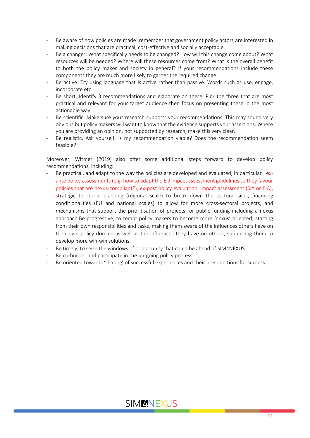- Be aware of how policies are made: remember that government policy actors are interested in making decisions that are practical, cost-effective and socially acceptable.
- Be a changer: What specifically needs to be changed? How will this change come about? What resources will be needed? Where will these resources come from? What is the overall benefit to both the policy maker and society in general? If your recommendations include these components they are much more likely to garner the required change.
- Be active. Try using language that is active rather than passive. Words such as use, engage, incorporate etc.
- Be short. Identify 3 recommendations and elaborate on these. Pick the three that are most practical and relevant for your target audience then focus on presenting these in the most actionable way.
- Be scientific. Make sure your research supports your recommendations. This may sound very obvious but policy makers will want to know that the evidence supports your assertions. Where you are providing an opinion, not supported by research, make this very clear.
- Be realistic. Ask yourself, is my recommendation viable? Does the recommendation seem feasible?

Moreover, Witmer (2019) also offer some additional steps forward to develop policy recommendations, including:

- Be practical, and adapt to the way the policies are developed and evaluated, in particular : exante policy assessments (e.g. how to adapt the EU impact assessment guidelines so they favour policies that are nexus-compliant?), ex-post policy evaluation, impact assessment (SIA or EIA), strategic territorial planning (regional scale) to break down the sectoral silos, financing conditionalities (EU and national scales) to allow for more cross-sectoral projects, and mechanisms that support the prioritisation of projects for public funding including a nexus approach.Be progressive, to tempt policy makers to become more 'nexus' oriented, starting from their own responsibilities and tasks, making them aware of the influences others have on their own policy domain as well as the influences they have on others, supporting them to develop more win-win solutions.
- Be timely, to seize the windows of opportunity that could be ahead of SIM4NEXUS.
- Be co-builder and participate in the on-going policy process.
- Be oriented towards 'sharing' of successful experiences and their preconditions for success.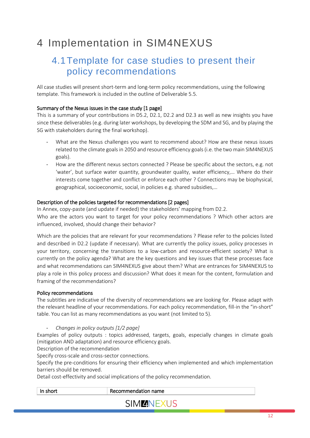# <span id="page-11-0"></span>4 Implementation in SIM4NEXUS

## <span id="page-11-1"></span>4.1Template for case studies to present their policy recommendations

All case studies will present short-term and long-term policy recommendations, using the following template. This framework is included in the outline of Deliverable 5.5.

### Summary of the Nexus issues in the case study [1 page]

This is a summary of your contributions in D5.2, D2.1, D2.2 and D2.3 as well as new insights you have since these deliverables (e.g. during later workshops, by developing the SDM and SG, and by playing the SG with stakeholders during the final workshop).

- What are the Nexus challenges you want to recommend about? How are these nexus issues related to the climate goals in 2050 and resource efficiency goals (i.e. the two main SIM4NEXUS goals).
- How are the different nexus sectors connected ? Please be specific about the sectors, e.g. not 'water', but surface water quantity, groundwater quality, water efficiency,… Where do their interests come together and conflict or enforce each other ? Connections may be biophysical, geographical, socioeconomic, social, in policies e.g. shared subsidies,…

### Description of the policies targeted for recommendations [2 pages]

In Annex, copy-paste (and update if needed) the stakeholders' mapping from D2.2. Who are the actors you want to target for your policy recommendations ? Which other actors are influenced, involved, should change their behavior?

Which are the policies that are relevant for your recommendations ? Please refer to the policies listed and described in D2.2 (update if necessary). What are currently the policy issues, policy processes in your territory, concerning the transitions to a low-carbon and resource-efficient society? What is currently on the policy agenda? What are the key questions and key issues that these processes face and what recommendations can SIM4NEXUS give about them? What are entrances for SIM4NEXUS to play a role in this policy process and discussion? What does it mean for the content, formulation and framing of the recommendations?

### Policy recommendations

The subtitles are indicative of the diversity of recommendations we are looking for. Please adapt with the relevant headline of your recommendations. For each policy recommendation, fill-in the "in-short" table. You can list as many recommendations as you want (not limited to 5).

### - *Changes in policy outputs [1/2 page]*

Examples of policy outputs : topics addressed, targets, goals, especially changes in climate goals (mitigation AND adaptation) and resource efficiency goals.

Description of the recommendation

Specify cross-scale and cross-sector connections.

Specify the pre-conditions for ensuring their efficiency when implemented and which implementation barriers should be removed.

Detail cost-effectivity and social implications of the policy recommendation.

| In short | Recommendation name |  |
|----------|---------------------|--|
|          |                     |  |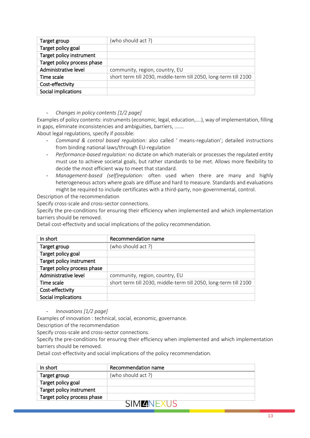| Target group                | (who should act ?)                                               |
|-----------------------------|------------------------------------------------------------------|
| Target policy goal          |                                                                  |
| Target policy instrument    |                                                                  |
| Target policy process phase |                                                                  |
| Administrative level        | community, region, country, EU                                   |
| Time scale                  | short term till 2030, middle-term till 2050, long-term till 2100 |
| Cost-effectivity            |                                                                  |
| Social implications         |                                                                  |

- *Changes in policy contents [1/2 page]*

Examples of policy contents: instruments (economic, legal, education,….), way of implementation, filling in gaps, eliminate inconsistencies and ambiguities, barriers, …….

About legal regulations, specify if possible:

- *Command & control based regulation:* also called ' means-regulation'; detailed instructions from binding national laws/through EU-regulation
- *Performance-based regulation:* no dictate on which materials or processes the regulated entity must use to achieve societal goals, but rather standards to be met. Allows more flexibility to decide the most efficient way to meet that standard.
- *Management-based (self)regulation:* often used when there are many and highly heterogeneous actors where goals are diffuse and hard to measure. Standards and evaluations might be required to include certificates with a third-party, non-governmental, control.

Description of the recommendation

Specify cross-scale and cross-sector connections.

Specify the pre-conditions for ensuring their efficiency when implemented and which implementation barriers should be removed.

Detail cost-effectivity and social implications of the policy recommendation.

| In short                    | Recommendation name                                              |
|-----------------------------|------------------------------------------------------------------|
| Target group                | (who should act ?)                                               |
| Target policy goal          |                                                                  |
| Target policy instrument    |                                                                  |
| Target policy process phase |                                                                  |
| Administrative level        | community, region, country, EU                                   |
| Time scale                  | short term till 2030, middle-term till 2050, long-term till 2100 |
| Cost-effectivity            |                                                                  |
| Social implications         |                                                                  |

- *Innovations [1/2 page]*

Examples of innovation : technical, social, economic, governance.

Description of the recommendation

Specify cross-scale and cross-sector connections.

Specify the pre-conditions for ensuring their efficiency when implemented and which implementation barriers should be removed.

Detail cost-effectivity and social implications of the policy recommendation.

| In short                    | Recommendation name |
|-----------------------------|---------------------|
| Target group                | (who should act ?)  |
| Target policy goal          |                     |
| Target policy instrument    |                     |
| Target policy process phase |                     |
| SIMI<br>ZNI –               |                     |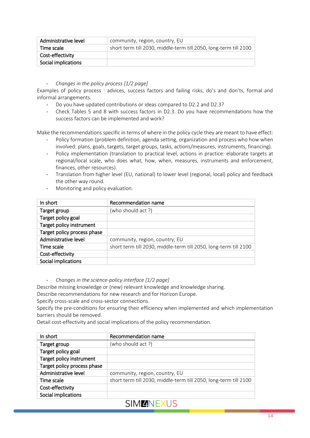| Administrative level | community, region, country, EU                                   |
|----------------------|------------------------------------------------------------------|
| Time scale           | short term till 2030, middle-term till 2050, long-term till 2100 |
| Cost-effectivity     |                                                                  |
| Social implications  |                                                                  |

#### - *Changes in the policy process [1/2 page]*

Examples of policy process : advices, success factors and failing risks, do's and don'ts, formal and informal arrangements.

- Do you have updated contributions or ideas compared to D2.2 and D2.3?
- Check Tables 5 and 8 with success factors in D2.3. Do you have recommendations how the success factors can be implemented and work?

Make the recommendations specific in terms of where in the policy cycle they are meant to have effect:

- Policy formation (problem definition, agenda setting, organization and process who how when involved: plans, goals, targets, target groups, tasks, actions/measures, instruments, financing).
- Policy implementation (translation to practical level, actions in practice: elaborate targets at regional/local scale, who does what, how, when, measures, instruments and enforcement, finances, other resources).
- Translation from higher level (EU, national) to lower level (regional, local) policy and feedback the other way round.
- Monitoring and policy evaluation.

| In short                    | Recommendation name                                              |
|-----------------------------|------------------------------------------------------------------|
| Target group                | (who should act ?)                                               |
| Target policy goal          |                                                                  |
| Target policy instrument    |                                                                  |
| Target policy process phase |                                                                  |
| Administrative level        | community, region, country, EU                                   |
| Time scale                  | short term till 2030, middle-term till 2050, long-term till 2100 |
| Cost-effectivity            |                                                                  |
| Social implications         |                                                                  |

- *Changes in the science-policy interface [1/2 page]*

Describe missing knowledge or (new) relevant knowledge and knowledge sharing.

Describe recommendations for new research and for Horizon Europe.

Specify cross-scale and cross-sector connections.

Specify the pre-conditions for ensuring their efficiency when implemented and which implementation barriers should be removed.

Detail cost-effectivity and social implications of the policy recommendation.

| In short                    | Recommendation name                                              |
|-----------------------------|------------------------------------------------------------------|
| Target group                | (who should act ?)                                               |
| Target policy goal          |                                                                  |
| Target policy instrument    |                                                                  |
| Target policy process phase |                                                                  |
| Administrative level        | community, region, country, EU                                   |
| Time scale                  | short term till 2030, middle-term till 2050, long-term till 2100 |
| Cost-effectivity            |                                                                  |
| Social implications         |                                                                  |

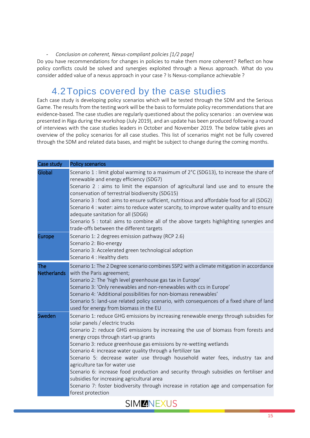#### - *Conclusion on coherent, Nexus-compliant policies [1/2 page]*

Do you have recommendations for changes in policies to make them more coherent? Reflect on how policy conflicts could be solved and synergies exploited through a Nexus approach. What do you consider added value of a nexus approach in your case ? Is Nexus-compliance achievable ?

### 4.2Topics covered by the case studies

<span id="page-14-0"></span>Each case study is developing policy scenarios which will be tested through the SDM and the Serious Game. The results from the testing work will be the basis to formulate policy recommendations that are evidence-based. The case studies are regularly questioned about the policy scenarios : an overview was presented in Riga during the workshop (July 2019), and an update has been produced following a round of interviews with the case studies leaders in October and November 2019. The below table gives an overview of the policy scenarios for all case studies. This list of scenarios might not be fully covered through the SDM and related data bases, and might be subject to change during the coming months.

| Case study                | <b>Policy scenarios</b>                                                                                                                                                                                                                                                                                                                                                                                                                                                                                                                                                                                                                                                                                                                                           |
|---------------------------|-------------------------------------------------------------------------------------------------------------------------------------------------------------------------------------------------------------------------------------------------------------------------------------------------------------------------------------------------------------------------------------------------------------------------------------------------------------------------------------------------------------------------------------------------------------------------------------------------------------------------------------------------------------------------------------------------------------------------------------------------------------------|
| Global                    | Scenario 1 : limit global warming to a maximum of 2°C (SDG13), to increase the share of<br>renewable and energy efficiency (SDG7)<br>Scenario 2 : aims to limit the expansion of agricultural land use and to ensure the<br>conservation of terrestrial biodiversity (SDG15)<br>Scenario 3 : food: aims to ensure sufficient, nutritious and affordable food for all (SDG2)<br>Scenario 4 : water: aims to reduce water scarcity, to improve water quality and to ensure<br>adequate sanitation for all (SDG6)<br>Scenario 5 : total: aims to combine all of the above targets highlighting synergies and<br>trade-offs between the different targets                                                                                                             |
| <b>Europe</b>             | Scenario 1: 2 degrees emission pathway (RCP 2.6)<br>Scenario 2: Bio-energy<br>Scenario 3: Accelerated green technological adoption<br>Scenario 4 : Healthy diets                                                                                                                                                                                                                                                                                                                                                                                                                                                                                                                                                                                                  |
| The<br><b>Netherlands</b> | Scenario 1: The 2 Degree scenario combines SSP2 with a climate mitigation in accordance<br>with the Paris agreement;<br>Scenario 2: The 'high level greenhouse gas tax in Europe'<br>Scenario 3: 'Only renewables and non-renewables with ccs in Europe'<br>Scenario 4: 'Additional possibilities for non-biomass renewables'<br>Scenario 5: land-use related policy scenario, with consequences of a fixed share of land<br>used for energy from biomass in the EU                                                                                                                                                                                                                                                                                               |
| Sweden                    | Scenario 1: reduce GHG emissions by increasing renewable energy through subsidies for<br>solar panels / electric trucks<br>Scenario 2: reduce GHG emissions by increasing the use of biomass from forests and<br>energy crops through start-up grants<br>Scenario 3: reduce greenhouse gas emissions by re-wetting wetlands<br>Scenario 4: increase water quality through a fertilizer tax<br>Scenario 5: decrease water use through household water fees, industry tax and<br>agriculture tax for water use<br>Scenario 6: increase food production and security through subsidies on fertiliser and<br>subsidies for increasing agricultural area<br>Scenario 7: foster biodiversity through increase in rotation age and compensation for<br>forest protection |

SIM**ENEXUS**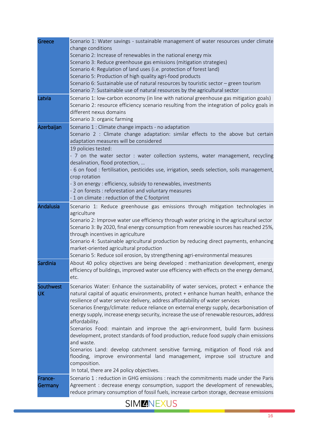| Greece                 | Scenario 1: Water savings - sustainable management of water resources under climate<br>change conditions<br>Scenario 2: Increase of renewables in the national energy mix<br>Scenario 3: Reduce greenhouse gas emissions (mitigation strategies)<br>Scenario 4: Regulation of land uses (i.e. protection of forest land)<br>Scenario 5: Production of high quality agri-food products<br>Scenario 6: Sustainable use of natural resources by touristic sector - green tourism<br>Scenario 7: Sustainable use of natural resources by the agricultural sector                                                                                                                                                                                                                                                                                                                                      |
|------------------------|---------------------------------------------------------------------------------------------------------------------------------------------------------------------------------------------------------------------------------------------------------------------------------------------------------------------------------------------------------------------------------------------------------------------------------------------------------------------------------------------------------------------------------------------------------------------------------------------------------------------------------------------------------------------------------------------------------------------------------------------------------------------------------------------------------------------------------------------------------------------------------------------------|
| Latvia                 | Scenario 1: low-carbon economy (in line with national greenhouse gas mitigation goals)<br>Scenario 2: resource efficiency scenario resulting from the integration of policy goals in<br>different nexus domains<br>Scenario 3: organic farming                                                                                                                                                                                                                                                                                                                                                                                                                                                                                                                                                                                                                                                    |
| Azerbaijan             | Scenario 1 : Climate change impacts - no adaptation<br>Scenario 2 : Climate change adaptation: similar effects to the above but certain<br>adaptation measures will be considered<br>19 policies tested:<br>- 7 on the water sector : water collection systems, water management, recycling<br>desalination, flood protection,<br>- 6 on food : fertilisation, pesticides use, irrigation, seeds selection, soils management,<br>crop rotation<br>- 3 on energy : efficiency, subsidy to renewables, investments<br>- 2 on forests : reforestation and voluntary measures<br>- 1 on climate: reduction of the C footprint                                                                                                                                                                                                                                                                         |
| <b>Andalusia</b>       | Scenario 1: Reduce greenhouse gas emissions through mitigation technologies in<br>agriculture<br>Scenario 2: Improve water use efficiency through water pricing in the agricultural sector<br>Scenario 3: By 2020, final energy consumption from renewable sources has reached 25%,<br>through incentives in agriculture<br>Scenario 4: Sustainable agricultural production by reducing direct payments, enhancing<br>market-oriented agricultural production<br>Scenario 5: Reduce soil erosion, by strengthening agri-environmental measures                                                                                                                                                                                                                                                                                                                                                    |
| Sardinia               | About 40 policy objectives are being developed : methanization development, energy<br>efficiency of buildings, improved water use efficiency with effects on the energy demand,<br>etc.                                                                                                                                                                                                                                                                                                                                                                                                                                                                                                                                                                                                                                                                                                           |
| Southwest<br><b>UK</b> | Scenarios Water: Enhance the sustainability of water services, protect + enhance the<br>natural capital of aquatic environments, protect + enhance human health, enhance the<br>resilience of water service delivery, address affordability of water services<br>Scenarios Energy/climate: reduce reliance on external energy supply, decarbonisation of<br>energy supply, increase energy security, increase the use of renewable resources, address<br>affordability.<br>Scenarios Food: maintain and improve the agri-environment, build farm business<br>development, protect standards of food production, reduce food supply chain emissions<br>and waste.<br>Scenarios Land: develop catchment sensitive farming, mitigation of flood risk and<br>flooding, improve environmental land management, improve soil structure and<br>composition.<br>In total, there are 24 policy objectives. |
| France-<br>Germany     | Scenario 1 : reduction in GHG emissions : reach the commitments made under the Paris<br>Agreement : decrease energy consumption, support the development of renewables,<br>reduce primary consumption of fossil fuels, increase carbon storage, decrease emissions                                                                                                                                                                                                                                                                                                                                                                                                                                                                                                                                                                                                                                |